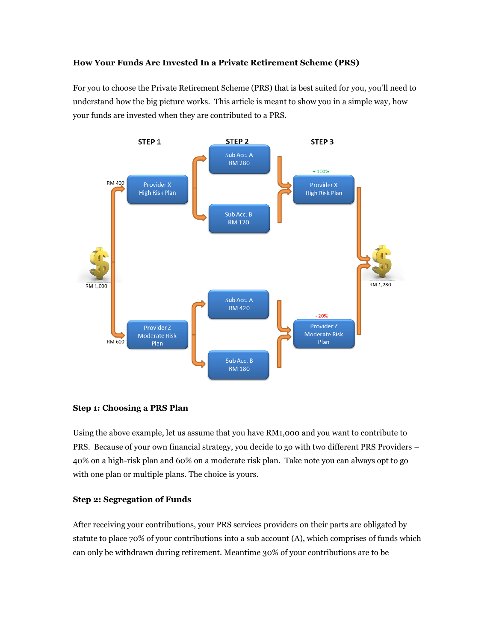## **How Your Funds Are Invested In a Private Retirement Scheme (PRS)**

For you to choose the Private Retirement Scheme (PRS) that is best suited for you, you'll need to understand how the big picture works. This article is meant to show you in a simple way, how your funds are invested when they are contributed to a PRS.



## **Step 1: Choosing a PRS Plan**

Using the above example, let us assume that you have RM1,000 and you want to contribute to PRS. Because of your own financial strategy, you decide to go with two different PRS Providers – 40% on a high-risk plan and 60% on a moderate risk plan. Take note you can always opt to go with one plan or multiple plans. The choice is yours.

#### **Step 2: Segregation of Funds**

After receiving your contributions, your PRS services providers on their parts are obligated by statute to place 70% of your contributions into a sub account (A), which comprises of funds which can only be withdrawn during retirement. Meantime 30% of your contributions are to be